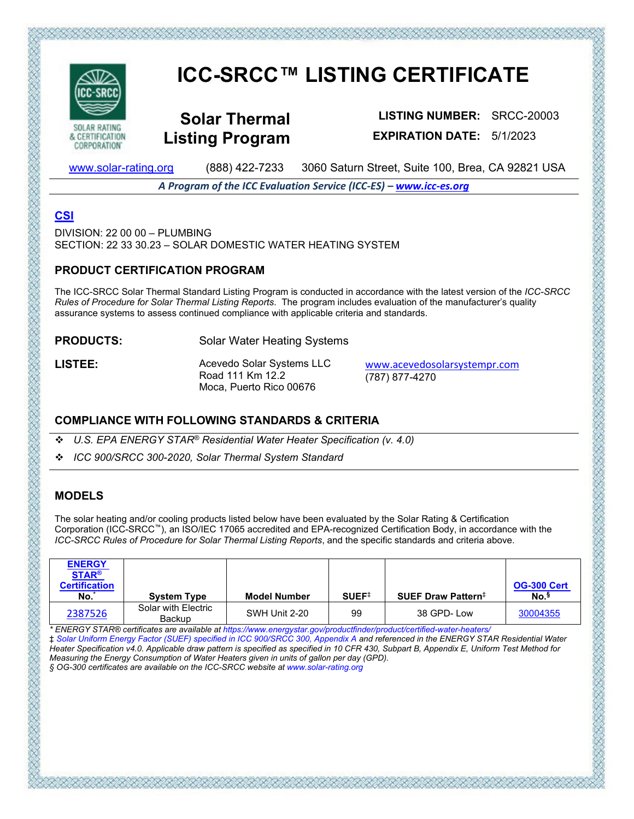

CORPORATION'

# **ICC-SRCC™ LISTING CERTIFICATE**

**Solar Thermal Listing Program**

**LISTING NUMBER:** SRCC-20003 **EXPIRATION DATE:** 5/1/2023

[www.solar-rating.org](http://www.solar-rating.org/) (888) 422-7233 3060 Saturn Street, Suite 100, Brea, CA 92821 USA

*A Program of the ICC Evaluation Service (ICC-ES) – [www.icc-es.org](http://www.icc-es.org/)*

# **[CSI](http://www.masterformat.com/revisions/)**

 $DIVISION: 22,00,00 - PI UMRING$ SECTION: 22 33 30.23 – SOLAR DOMESTIC WATER HEATING SYSTEM

#### **PRODUCT CERTIFICATION PROGRAM**

The ICC-SRCC Solar Thermal Standard Listing Program is conducted in accordance with the latest version of the *ICC-SRCC Rules of Procedure for Solar Thermal Listing Reports*. The program includes evaluation of the manufacturer's quality assurance systems to assess continued compliance with applicable criteria and standards.

**PRODUCTS:** Solar Water Heating Systems

LISTEE: Acevedo Solar Systems LLC Road 111 Km 12.2 Moca, Puerto Rico 00676

[www.acevedosolarsystempr.com](http://www.acevedosolarsystempr.com/) (787) 877-4270

# **COMPLIANCE WITH FOLLOWING STANDARDS & CRITERIA**

*U.S. EPA ENERGY STAR® Residential Water Heater Specification (v. 4.0)*

*ICC 900/SRCC 300-2020, Solar Thermal System Standard*

# **MODELS**

The solar heating and/or cooling products listed below have been evaluated by the Solar Rating & Certification Corporation (ICC-SRCC™), an ISO/IEC 17065 accredited and EPA-recognized Certification Body, in accordance with the *ICC-SRCC Rules of Procedure for Solar Thermal Listing Reports*, and the specific standards and criteria above.

| <b>ENERGY</b><br><b>STAR®</b><br><b>Certification</b><br>No. | <b>System Type</b>            | <b>Model Number</b> | SUEF <sup>†</sup> | SUEF Draw Pattern <sup>‡</sup> | <b>OG-300 Cert</b><br>No. <sup>§</sup> |
|--------------------------------------------------------------|-------------------------------|---------------------|-------------------|--------------------------------|----------------------------------------|
| 2387526                                                      | Solar with Electric<br>Backup | SWH Unit 2-20       | 99                | 38 GPD-Low                     | 30004355                               |

*\* ENERGY STAR® certificates are available at https://www.energystar.gov/productfinder/product/certified-water-heaters/* 

‡ *Solar Uniform Energy Factor (SUEF) specified in ICC 900/SRCC 300, Appendix A and referenced in the ENERGY STAR Residential Water Heater Specification v4.0. Applicable draw pattern is specified as specified in 10 CFR 430, Subpart B, Appendix E, Uniform Test Method for Measuring the Energy Consumption of Water Heaters given in units of gallon per day (GPD).* 

でだいだいだいがたいだいがたいだいがたいだいだいだいだいだいだいだい

*§ OG-300 certificates are available on the ICC-SRCC website at www.solar-rating.org*